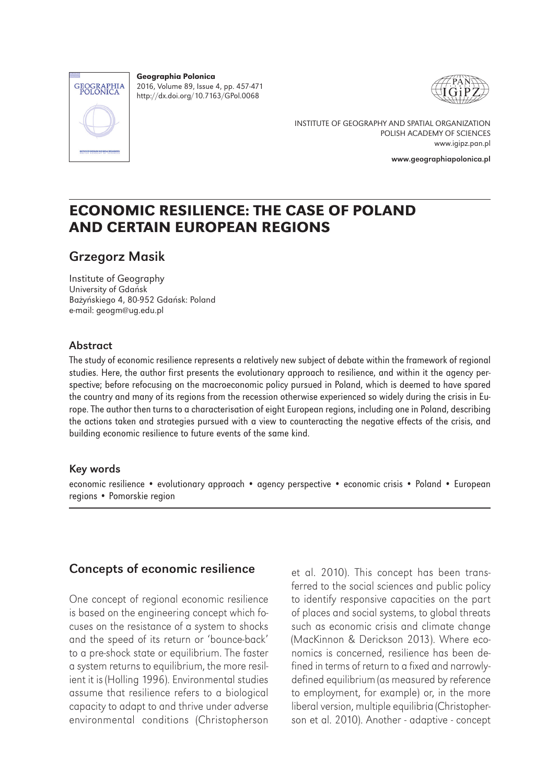

Geographia Polonica 2016, Volume 89, Issue 4, pp. 457-471 http://dx.doi.org/10.7163/GPol.0068



INSTITUTE OF GEOGRAPHY AND SPATIAL ORGANIZATION POLISH ACADEMY OF SCIENCES www.igipz.pan.pl

www.geographiapolonica.pl

## ECONOMIC RESILIENCE: THE CASE OF POLAND AND CERTAIN EUROPEAN REGIONS

### Grzegorz Masik

Institute of Geography University of Gdańsk Bażyńskiego 4, 80-952 Gdańsk: Poland e-mail: geogm@ug.edu.pl

#### Abstract

The study of economic resilience represents a relatively new subject of debate within the framework of regional studies. Here, the author first presents the evolutionary approach to resilience, and within it the agency perspective; before refocusing on the macroeconomic policy pursued in Poland, which is deemed to have spared the country and many of its regions from the recession otherwise experienced so widely during the crisis in Europe. The author then turns to a characterisation of eight European regions, including one in Poland, describing the actions taken and strategies pursued with a view to counteracting the negative effects of the crisis, and building economic resilience to future events of the same kind.

#### Key words

economic resilience • evolutionary approach • agency perspective • economic crisis • Poland • European regions • Pomorskie region

#### Concepts of economic resilience

One concept of regional economic resilience is based on the engineering concept which focuses on the resistance of a system to shocks and the speed of its return or 'bounce-back' to a pre-shock state or equilibrium. The faster a system returns to equilibrium, the more resilient it is (Holling 1996). Environmental studies assume that resilience refers to a biological capacity to adapt to and thrive under adverse environmental conditions (Christopherson

et al. 2010). This concept has been transferred to the social sciences and public policy to identify responsive capacities on the part of places and social systems, to global threats such as economic crisis and climate change (MacKinnon & Derickson 2013). Where economics is concerned, resilience has been defined in terms of return to a fixed and narrowlydefined equilibrium (as measured by reference to employment, for example) or, in the more liberal version, multiple equilibria (Christopherson et al. 2010). Another - adaptive - concept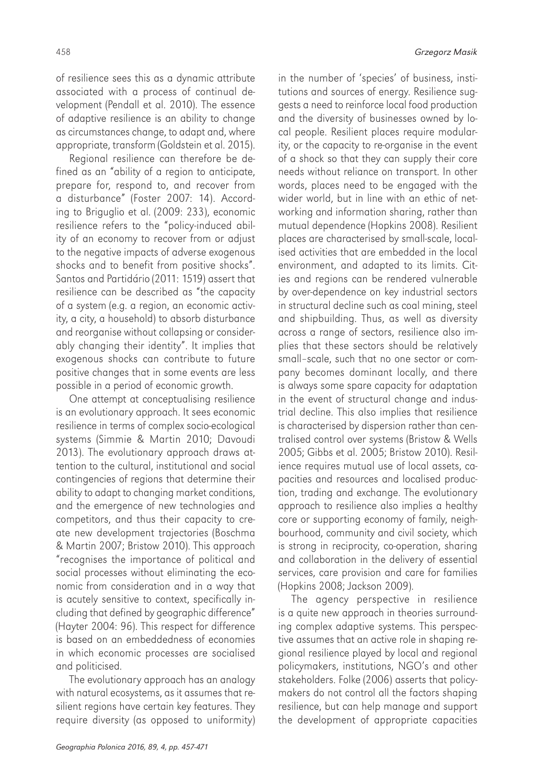of resilience sees this as a dynamic attribute associated with a process of continual development (Pendall et al. 2010). The essence of adaptive resilience is an ability to change as circumstances change, to adapt and, where appropriate, transform (Goldstein et al. 2015).

Regional resilience can therefore be defined as an "ability of a region to anticipate, prepare for, respond to, and recover from a disturbance" (Foster 2007: 14). According to Briguglio et al. (2009: 233), economic resilience refers to the "policy-induced ability of an economy to recover from or adjust to the negative impacts of adverse exogenous shocks and to benefit from positive shocks". Santos and Partidário (2011: 1519) assert that resilience can be described as "the capacity of a system (e.g. a region, an economic activity, a city, a household) to absorb disturbance and reorganise without collapsing or considerably changing their identity". It implies that exogenous shocks can contribute to future positive changes that in some events are less possible in a period of economic growth.

One attempt at conceptualising resilience is an evolutionary approach. It sees economic resilience in terms of complex socio-ecological systems (Simmie & Martin 2010; Davoudi 2013). The evolutionary approach draws attention to the cultural, institutional and social contingencies of regions that determine their ability to adapt to changing market conditions, and the emergence of new technologies and competitors, and thus their capacity to create new development trajectories (Boschma & Martin 2007; Bristow 2010). This approach "recognises the importance of political and social processes without eliminating the economic from consideration and in a way that is acutely sensitive to context, specifically including that defined by geographic difference" (Hayter 2004: 96). This respect for difference is based on an embeddedness of economies in which economic processes are socialised and politicised.

The evolutionary approach has an analogy with natural ecosystems, as it assumes that resilient regions have certain key features. They require diversity (as opposed to uniformity)

in the number of 'species' of business, institutions and sources of energy. Resilience suggests a need to reinforce local food production and the diversity of businesses owned by local people. Resilient places require modularity, or the capacity to re-organise in the event of a shock so that they can supply their core needs without reliance on transport. In other words, places need to be engaged with the wider world, but in line with an ethic of networking and information sharing, rather than mutual dependence (Hopkins 2008). Resilient places are characterised by small-scale, localised activities that are embedded in the local environment, and adapted to its limits. Cities and regions can be rendered vulnerable by over-dependence on key industrial sectors in structural decline such as coal mining, steel and shipbuilding. Thus, as well as diversity across a range of sectors, resilience also implies that these sectors should be relatively small–scale, such that no one sector or company becomes dominant locally, and there is always some spare capacity for adaptation in the event of structural change and industrial decline. This also implies that resilience is characterised by dispersion rather than centralised control over systems (Bristow & Wells 2005; Gibbs et al. 2005; Bristow 2010). Resilience requires mutual use of local assets, capacities and resources and localised production, trading and exchange. The evolutionary approach to resilience also implies a healthy core or supporting economy of family, neighbourhood, community and civil society, which is strong in reciprocity, co-operation, sharing and collaboration in the delivery of essential services, care provision and care for families (Hopkins 2008; Jackson 2009).

The agency perspective in resilience is a quite new approach in theories surrounding complex adaptive systems. This perspective assumes that an active role in shaping regional resilience played by local and regional policymakers, institutions, NGO's and other stakeholders. Folke (2006) asserts that policymakers do not control all the factors shaping resilience, but can help manage and support the development of appropriate capacities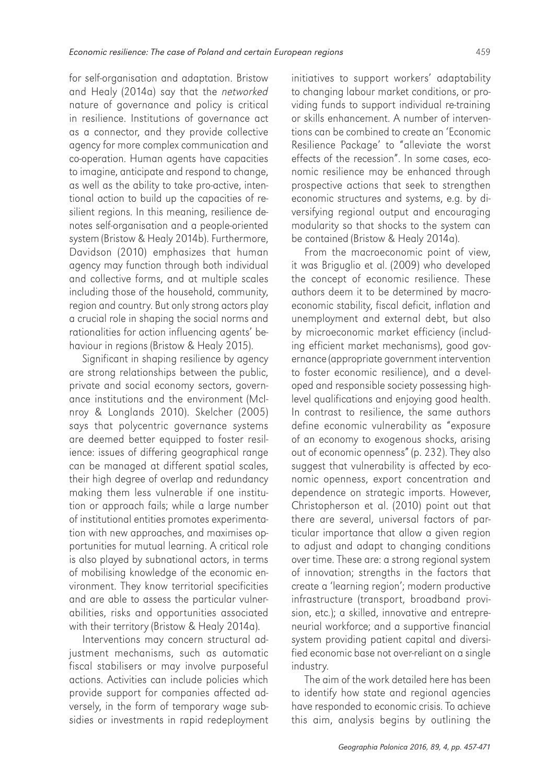for self-organisation and adaptation. Bristow and Healy (2014a) say that the networked nature of governance and policy is critical in resilience. Institutions of governance act as a connector, and they provide collective agency for more complex communication and co-operation. Human agents have capacities to imagine, anticipate and respond to change, as well as the ability to take pro-active, intentional action to build up the capacities of resilient regions. In this meaning, resilience denotes self-organisation and a people-oriented system (Bristow & Healy 2014b). Furthermore, Davidson (2010) emphasizes that human agency may function through both individual and collective forms, and at multiple scales including those of the household, community, region and country. But only strong actors play a crucial role in shaping the social norms and rationalities for action influencing agents' behaviour in regions (Bristow & Healy 2015).

Significant in shaping resilience by agency are strong relationships between the public, private and social economy sectors, governance institutions and the environment (McInroy & Longlands 2010). Skelcher (2005) says that polycentric governance systems are deemed better equipped to foster resilience: issues of differing geographical range can be managed at different spatial scales, their high degree of overlap and redundancy making them less vulnerable if one institution or approach fails; while a large number of institutional entities promotes experimentation with new approaches, and maximises opportunities for mutual learning. A critical role is also played by subnational actors, in terms of mobilising knowledge of the economic environment. They know territorial specificities and are able to assess the particular vulnerabilities, risks and opportunities associated with their territory (Bristow & Healy 2014a).

Interventions may concern structural adjustment mechanisms, such as automatic fiscal stabilisers or may involve purposeful actions. Activities can include policies which provide support for companies affected adversely, in the form of temporary wage subsidies or investments in rapid redeployment initiatives to support workers' adaptability to changing labour market conditions, or providing funds to support individual re-training or skills enhancement. A number of interventions can be combined to create an 'Economic Resilience Package' to "alleviate the worst effects of the recession". In some cases, economic resilience may be enhanced through prospective actions that seek to strengthen economic structures and systems, e.g. by diversifying regional output and encouraging modularity so that shocks to the system can be contained (Bristow & Healy 2014a).

From the macroeconomic point of view, it was Briguglio et al. (2009) who developed the concept of economic resilience. These authors deem it to be determined by macroeconomic stability, fiscal deficit, inflation and unemployment and external debt, but also by microeconomic market efficiency (including efficient market mechanisms), good governance (appropriate government intervention to foster economic resilience), and a developed and responsible society possessing highlevel qualifications and enjoying good health. In contrast to resilience, the same authors define economic vulnerability as "exposure of an economy to exogenous shocks, arising out of economic openness" (p. 232). They also suggest that vulnerability is affected by economic openness, export concentration and dependence on strategic imports. However, Christopherson et al. (2010) point out that there are several, universal factors of particular importance that allow a given region to adjust and adapt to changing conditions over time. These are: a strong regional system of innovation; strengths in the factors that create a 'learning region'; modern productive infrastructure (transport, broadband provision, etc.); a skilled, innovative and entrepreneurial workforce; and a supportive financial system providing patient capital and diversified economic base not over-reliant on a single industry.

The aim of the work detailed here has been to identify how state and regional agencies have responded to economic crisis. To achieve this aim, analysis begins by outlining the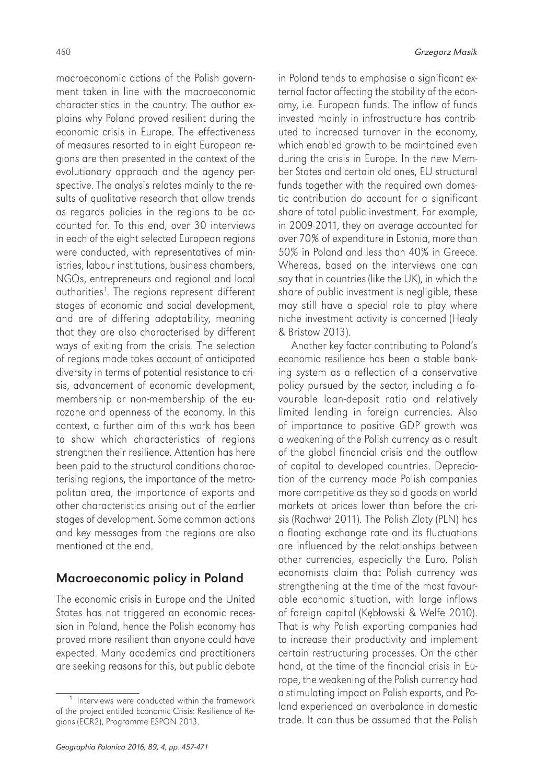macroeconomic actions of the Polish government taken in line with the macroeconomic characteristics in the country. The author explains why Poland proved resilient during the economic crisis in Europe. The effectiveness of measures resorted to in eight European regions are then presented in the context of the evolutionary approach and the agency perspective. The analysis relates mainly to the results of qualitative research that allow trends as regards policies in the regions to be accounted for. To this end, over 30 interviews in each of the eight selected European regions were conducted, with representatives of ministries, labour institutions, business chambers, NGOs, entrepreneurs and regional and local authorities1 . The regions represent different stages of economic and social development, and are of differing adaptability, meaning that they are also characterised by different ways of exiting from the crisis. The selection of regions made takes account of anticipated diversity in terms of potential resistance to crisis, advancement of economic development, membership or non-membership of the eurozone and openness of the economy. In this context, a further aim of this work has been to show which characteristics of regions strengthen their resilience. Attention has here been paid to the structural conditions characterising regions, the importance of the metropolitan area, the importance of exports and other characteristics arising out of the earlier stages of development. Some common actions and key messages from the regions are also mentioned at the end.

#### Macroeconomic policy in Poland

The economic crisis in Europe and the United States has not triggered an economic recession in Poland, hence the Polish economy has proved more resilient than anyone could have expected. Many academics and practitioners are seeking reasons for this, but public debate

in Poland tends to emphasise a significant external factor affecting the stability of the economy, i.e. European funds. The inflow of funds invested mainly in infrastructure has contributed to increased turnover in the economy, which enabled growth to be maintained even during the crisis in Europe. In the new Member States and certain old ones, EU structural funds together with the required own domestic contribution do account for a significant share of total public investment. For example, in 2009-2011, they on average accounted for over 70% of expenditure in Estonia, more than 50% in Poland and less than 40% in Greece. Whereas, based on the interviews one can say that in countries (like the UK), in which the share of public investment is negligible, these may still have a special role to play where niche investment activity is concerned (Healy & Bristow 2013).

Another key factor contributing to Poland's economic resilience has been a stable banking system as a reflection of a conservative policy pursued by the sector, including a favourable loan-deposit ratio and relatively limited lending in foreign currencies. Also of importance to positive GDP growth was a weakening of the Polish currency as a result of the global financial crisis and the outflow of capital to developed countries. Depreciation of the currency made Polish companies more competitive as they sold goods on world markets at prices lower than before the crisis (Rachwał 2011). The Polish Zloty (PLN) has a floating exchange rate and its fluctuations are influenced by the relationships between other currencies, especially the Euro. Polish economists claim that Polish currency was strengthening at the time of the most favourable economic situation, with large inflows of foreign capital (Kębłowski & Welfe 2010). That is why Polish exporting companies had to increase their productivity and implement certain restructuring processes. On the other hand, at the time of the financial crisis in Europe, the weakening of the Polish currency had a stimulating impact on Polish exports, and Poland experienced an overbalance in domestic trade. It can thus be assumed that the Polish

<sup>&</sup>lt;sup>1</sup> Interviews were conducted within the framework of the project entitled Economic Crisis: Resilience of Regions (ECR2), Programme ESPON 2013.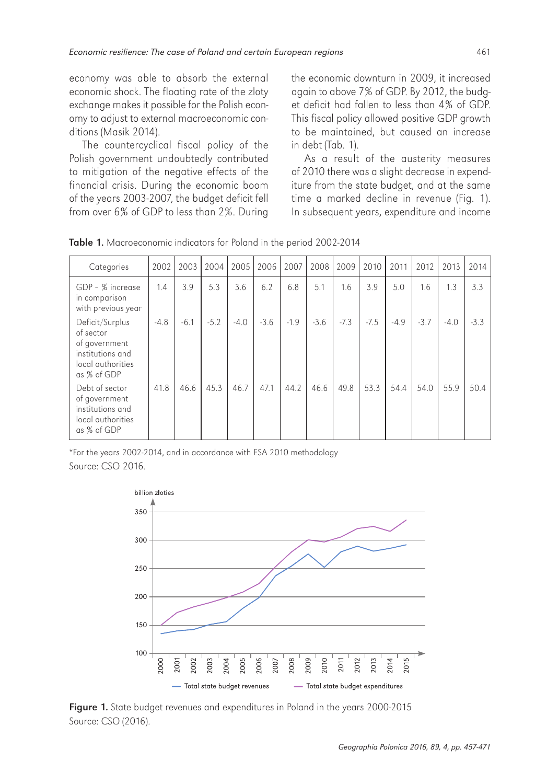economy was able to absorb the external economic shock. The floating rate of the zloty exchange makes it possible for the Polish economy to adjust to external macroeconomic conditions (Masik 2014).

The countercyclical fiscal policy of the Polish government undoubtedly contributed to mitigation of the negative effects of the financial crisis. During the economic boom of the years 2003-2007, the budget deficit fell from over 6% of GDP to less than 2%. During the economic downturn in 2009, it increased again to above 7% of GDP. By 2012, the budget deficit had fallen to less than 4% of GDP. This fiscal policy allowed positive GDP growth to be maintained, but caused an increase in debt (Tab. 1).

As a result of the austerity measures of 2010 there was a slight decrease in expenditure from the state budget, and at the same time a marked decline in revenue (Fig. 1). In subsequent years, expenditure and income

| Categories                                                                                            | 2002   | 2003   | 2004   | 2005   | 2006   | 2007   | 2008   | 2009   | 2010   | 2011   | 2012   | 2013   | 2014   |
|-------------------------------------------------------------------------------------------------------|--------|--------|--------|--------|--------|--------|--------|--------|--------|--------|--------|--------|--------|
| GDP - % increase<br>in comparison<br>with previous year                                               | 1.4    | 3.9    | 5.3    | 3.6    | 6.2    | 6.8    | 5.1    | 1.6    | 3.9    | 5.0    | 1.6    | 1.3    | 3.3    |
| Deficit/Surplus<br>of sector<br>of government<br>institutions and<br>local authorities<br>as % of GDP | $-4.8$ | $-6.1$ | $-5.2$ | $-4.0$ | $-3.6$ | $-1.9$ | $-3.6$ | $-7.3$ | $-7.5$ | $-4.9$ | $-3.7$ | $-4.0$ | $-3.3$ |
| Debt of sector<br>of government<br>institutions and<br>local authorities<br>as % of GDP               | 41.8   | 46.6   | 45.3   | 46.7   | 47.1   | 44.2   | 46.6   | 49.8   | 53.3   | 54.4   | 54.0   | 55.9   | 50.4   |

Table 1. Macroeconomic indicators for Poland in the period 2002-2014

\*For the years 2002-2014, and in accordance with ESA 2010 methodology Source: CSO 2016.



Figure 1. State budget revenues and expenditures in Poland in the years 2000-2015 Source: CSO (2016).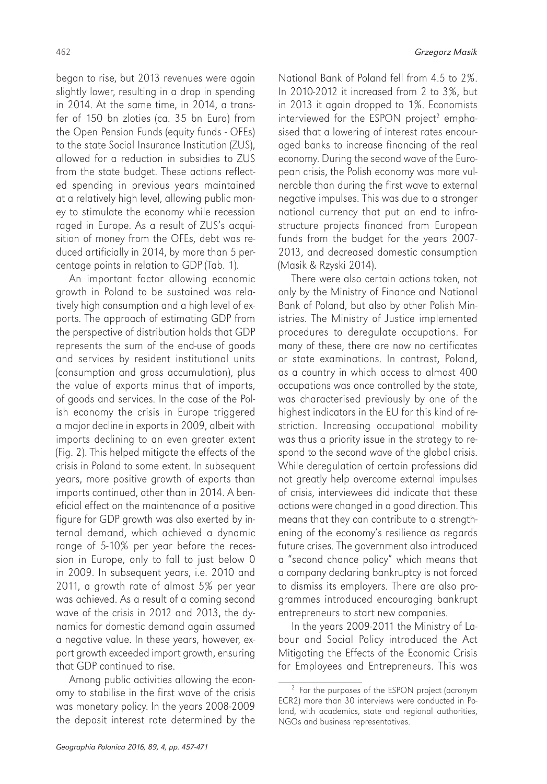began to rise, but 2013 revenues were again slightly lower, resulting in a drop in spending in 2014. At the same time, in 2014, a transfer of 150 bn zloties (ca. 35 bn Euro) from the Open Pension Funds (equity funds - OFEs) to the state Social Insurance Institution (ZUS), allowed for a reduction in subsidies to ZUS from the state budget. These actions reflected spending in previous years maintained at a relatively high level, allowing public money to stimulate the economy while recession raged in Europe. As a result of ZUS's acquisition of money from the OFEs, debt was reduced artificially in 2014, by more than 5 percentage points in relation to GDP (Tab. 1).

An important factor allowing economic growth in Poland to be sustained was relatively high consumption and a high level of exports. The approach of estimating GDP from the perspective of distribution holds that GDP represents the sum of the end-use of goods and services by resident institutional units (consumption and gross accumulation), plus the value of exports minus that of imports, of goods and services. In the case of the Polish economy the crisis in Europe triggered a major decline in exports in 2009, albeit with imports declining to an even greater extent (Fig. 2). This helped mitigate the effects of the crisis in Poland to some extent. In subsequent years, more positive growth of exports than imports continued, other than in 2014. A beneficial effect on the maintenance of a positive figure for GDP growth was also exerted by internal demand, which achieved a dynamic range of 5-10% per year before the recession in Europe, only to fall to just below 0 in 2009. In subsequent years, i.e. 2010 and 2011, a growth rate of almost 5% per year was achieved. As a result of a coming second wave of the crisis in 2012 and 2013, the dynamics for domestic demand again assumed a negative value. In these years, however, export growth exceeded import growth, ensuring that GDP continued to rise.

Among public activities allowing the economy to stabilise in the first wave of the crisis was monetary policy. In the years 2008-2009 the deposit interest rate determined by the

National Bank of Poland fell from 4.5 to 2%. In 2010-2012 it increased from 2 to 3%, but in 2013 it again dropped to 1%. Economists interviewed for the ESPON project $^2$  emphasised that a lowering of interest rates encouraged banks to increase financing of the real economy. During the second wave of the European crisis, the Polish economy was more vulnerable than during the first wave to external negative impulses. This was due to a stronger national currency that put an end to infrastructure projects financed from European funds from the budget for the years 2007- 2013, and decreased domestic consumption (Masik & Rzyski 2014).

There were also certain actions taken, not only by the Ministry of Finance and National Bank of Poland, but also by other Polish Ministries. The Ministry of Justice implemented procedures to deregulate occupations. For many of these, there are now no certificates or state examinations. In contrast, Poland, as a country in which access to almost 400 occupations was once controlled by the state, was characterised previously by one of the highest indicators in the EU for this kind of restriction. Increasing occupational mobility was thus a priority issue in the strategy to respond to the second wave of the global crisis. While deregulation of certain professions did not greatly help overcome external impulses of crisis, interviewees did indicate that these actions were changed in a good direction. This means that they can contribute to a strengthening of the economy's resilience as regards future crises. The government also introduced a "second chance policy" which means that a company declaring bankruptcy is not forced to dismiss its employers. There are also programmes introduced encouraging bankrupt entrepreneurs to start new companies.

In the years 2009-2011 the Ministry of Labour and Social Policy introduced the Act Mitigating the Effects of the Economic Crisis for Employees and Entrepreneurs. This was

<sup>2</sup> For the purposes of the ESPON project (acronym ECR2) more than 30 interviews were conducted in Poland, with academics, state and regional authorities, NGOs and business representatives.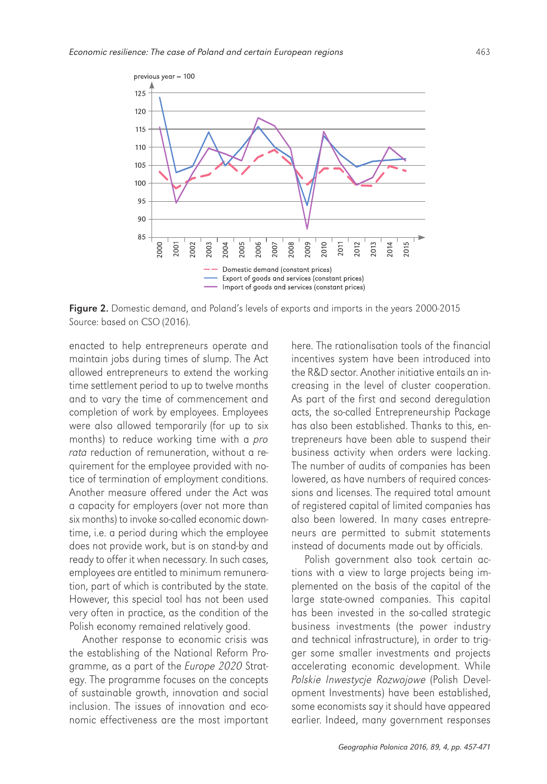

Figure 2. Domestic demand, and Poland's levels of exports and imports in the years 2000-2015 Source: based on CSO (2016).

enacted to help entrepreneurs operate and maintain jobs during times of slump. The Act allowed entrepreneurs to extend the working time settlement period to up to twelve months and to vary the time of commencement and completion of work by employees. Employees were also allowed temporarily (for up to six months) to reduce working time with a pro rata reduction of remuneration, without a requirement for the employee provided with notice of termination of employment conditions. Another measure offered under the Act was a capacity for employers (over not more than six months) to invoke so-called economic downtime, i.e. a period during which the employee does not provide work, but is on stand-by and ready to offer it when necessary. In such cases, employees are entitled to minimum remuneration, part of which is contributed by the state. However, this special tool has not been used very often in practice, as the condition of the Polish economy remained relatively good.

Another response to economic crisis was the establishing of the National Reform Programme, as a part of the Europe 2020 Strategy. The programme focuses on the concepts of sustainable growth, innovation and social inclusion. The issues of innovation and economic effectiveness are the most important

here. The rationalisation tools of the financial incentives system have been introduced into the R&D sector. Another initiative entails an increasing in the level of cluster cooperation. As part of the first and second deregulation acts, the so-called Entrepreneurship Package has also been established. Thanks to this, entrepreneurs have been able to suspend their business activity when orders were lacking. The number of audits of companies has been lowered, as have numbers of required concessions and licenses. The required total amount of registered capital of limited companies has also been lowered. In many cases entrepreneurs are permitted to submit statements instead of documents made out by officials.

Polish government also took certain actions with a view to large projects being implemented on the basis of the capital of the large state-owned companies. This capital has been invested in the so-called strategic business investments (the power industry and technical infrastructure), in order to trigger some smaller investments and projects accelerating economic development. While Polskie Inwestycje Rozwojowe (Polish Development Investments) have been established, some economists say it should have appeared earlier. Indeed, many government responses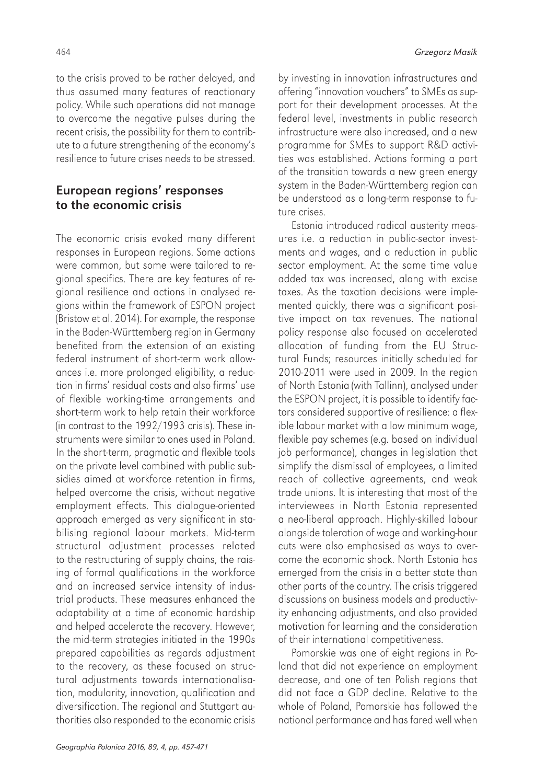to the crisis proved to be rather delayed, and thus assumed many features of reactionary policy. While such operations did not manage to overcome the negative pulses during the recent crisis, the possibility for them to contribute to a future strengthening of the economy's resilience to future crises needs to be stressed.

#### European regions' responses to the economic crisis

The economic crisis evoked many different responses in European regions. Some actions were common, but some were tailored to regional specifics. There are key features of regional resilience and actions in analysed regions within the framework of ESPON project (Bristow et al. 2014). For example, the response in the Baden-Württemberg region in Germany benefited from the extension of an existing federal instrument of short-term work allowances i.e. more prolonged eligibility, a reduction in firms' residual costs and also firms' use of flexible working-time arrangements and short-term work to help retain their workforce (in contrast to the 1992/1993 crisis). These instruments were similar to ones used in Poland. In the short-term, pragmatic and flexible tools on the private level combined with public subsidies aimed at workforce retention in firms, helped overcome the crisis, without negative employment effects. This dialogue-oriented approach emerged as very significant in stabilising regional labour markets. Mid-term structural adjustment processes related to the restructuring of supply chains, the raising of formal qualifications in the workforce and an increased service intensity of industrial products. These measures enhanced the adaptability at a time of economic hardship and helped accelerate the recovery. However, the mid-term strategies initiated in the 1990s prepared capabilities as regards adjustment to the recovery, as these focused on structural adjustments towards internationalisation, modularity, innovation, qualification and diversification. The regional and Stuttgart authorities also responded to the economic crisis

by investing in innovation infrastructures and offering "innovation vouchers" to SMEs as support for their development processes. At the federal level, investments in public research infrastructure were also increased, and a new programme for SMEs to support R&D activities was established. Actions forming a part of the transition towards a new green energy system in the Baden-Württemberg region can be understood as a long-term response to future crises.

Estonia introduced radical austerity measures i.e. a reduction in public-sector investments and wages, and a reduction in public sector employment. At the same time value added tax was increased, along with excise taxes. As the taxation decisions were implemented quickly, there was a significant positive impact on tax revenues. The national policy response also focused on accelerated allocation of funding from the EU Structural Funds; resources initially scheduled for 2010-2011 were used in 2009. In the region of North Estonia (with Tallinn), analysed under the ESPON project, it is possible to identify factors considered supportive of resilience: a flexible labour market with a low minimum wage, flexible pay schemes (e.g. based on individual job performance), changes in legislation that simplify the dismissal of employees, a limited reach of collective agreements, and weak trade unions. It is interesting that most of the interviewees in North Estonia represented a neo-liberal approach. Highly-skilled labour alongside toleration of wage and working-hour cuts were also emphasised as ways to overcome the economic shock. North Estonia has emerged from the crisis in a better state than other parts of the country. The crisis triggered discussions on business models and productivity enhancing adjustments, and also provided motivation for learning and the consideration of their international competitiveness.

Pomorskie was one of eight regions in Poland that did not experience an employment decrease, and one of ten Polish regions that did not face a GDP decline. Relative to the whole of Poland, Pomorskie has followed the national performance and has fared well when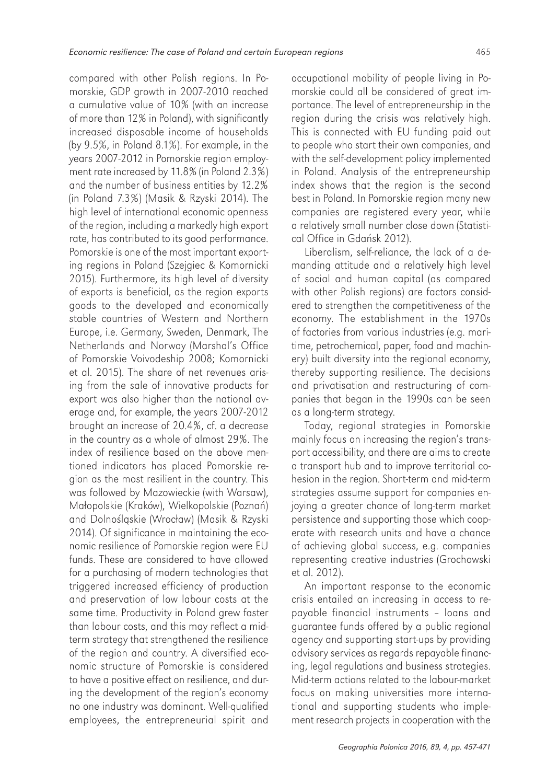compared with other Polish regions. In Pomorskie, GDP growth in 2007-2010 reached a cumulative value of 10% (with an increase of more than 12% in Poland), with significantly increased disposable income of households (by 9.5%, in Poland 8.1%). For example, in the years 2007-2012 in Pomorskie region employment rate increased by 11.8% (in Poland 2.3%) and the number of business entities by 12.2% (in Poland 7.3%) (Masik & Rzyski 2014). The high level of international economic openness of the region, including a markedly high export rate, has contributed to its good performance. Pomorskie is one of the most important exporting regions in Poland (Szejgiec & Komornicki 2015). Furthermore, its high level of diversity of exports is beneficial, as the region exports goods to the developed and economically stable countries of Western and Northern Europe, i.e. Germany, Sweden, Denmark, The Netherlands and Norway (Marshal's Office of Pomorskie Voivodeship 2008; Komornicki et al. 2015). The share of net revenues arising from the sale of innovative products for export was also higher than the national average and, for example, the years 2007-2012 brought an increase of 20.4%, cf. a decrease in the country as a whole of almost 29%. The index of resilience based on the above mentioned indicators has placed Pomorskie region as the most resilient in the country. This was followed by Mazowieckie (with Warsaw), Małopolskie (Kraków), Wielkopolskie (Poznań) and Dolnośląskie (Wrocław) (Masik & Rzyski 2014). Of significance in maintaining the economic resilience of Pomorskie region were EU funds. These are considered to have allowed for a purchasing of modern technologies that triggered increased efficiency of production and preservation of low labour costs at the same time. Productivity in Poland grew faster than labour costs, and this may reflect a midterm strategy that strengthened the resilience of the region and country. A diversified economic structure of Pomorskie is considered to have a positive effect on resilience, and during the development of the region's economy no one industry was dominant. Well-qualified employees, the entrepreneurial spirit and

occupational mobility of people living in Pomorskie could all be considered of great importance. The level of entrepreneurship in the region during the crisis was relatively high. This is connected with EU funding paid out to people who start their own companies, and with the self-development policy implemented in Poland. Analysis of the entrepreneurship index shows that the region is the second best in Poland. In Pomorskie region many new companies are registered every year, while a relatively small number close down (Statistical Office in Gdańsk 2012).

Liberalism, self-reliance, the lack of a demanding attitude and a relatively high level of social and human capital (as compared with other Polish regions) are factors considered to strengthen the competitiveness of the economy. The establishment in the 1970s of factories from various industries (e.g. maritime, petrochemical, paper, food and machinery) built diversity into the regional economy, thereby supporting resilience. The decisions and privatisation and restructuring of companies that began in the 1990s can be seen as a long-term strategy.

Today, regional strategies in Pomorskie mainly focus on increasing the region's transport accessibility, and there are aims to create a transport hub and to improve territorial cohesion in the region. Short-term and mid-term strategies assume support for companies enjoying a greater chance of long-term market persistence and supporting those which cooperate with research units and have a chance of achieving global success, e.g. companies representing creative industries (Grochowski et al. 2012).

An important response to the economic crisis entailed an increasing in access to repayable financial instruments – loans and guarantee funds offered by a public regional agency and supporting start-ups by providing advisory services as regards repayable financing, legal regulations and business strategies. Mid-term actions related to the labour-market focus on making universities more international and supporting students who implement research projects in cooperation with the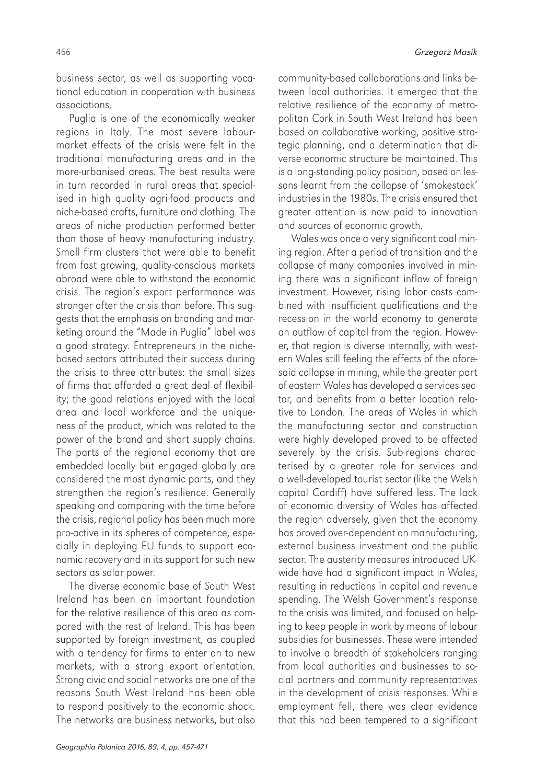business sector, as well as supporting vocational education in cooperation with business associations.

Puglia is one of the economically weaker regions in Italy. The most severe labourmarket effects of the crisis were felt in the traditional manufacturing areas and in the more-urbanised areas. The best results were in turn recorded in rural areas that specialised in high quality agri-food products and niche-based crafts, furniture and clothing. The areas of niche production performed better than those of heavy manufacturing industry. Small firm clusters that were able to benefit from fast growing, quality-conscious markets abroad were able to withstand the economic crisis. The region's export performance was stronger after the crisis than before. This suggests that the emphasis on branding and marketing around the "Made in Puglia" label was a good strategy. Entrepreneurs in the nichebased sectors attributed their success during the crisis to three attributes: the small sizes of firms that afforded a great deal of flexibility; the good relations enjoyed with the local area and local workforce and the uniqueness of the product, which was related to the power of the brand and short supply chains. The parts of the regional economy that are embedded locally but engaged globally are considered the most dynamic parts, and they strengthen the region's resilience. Generally speaking and comparing with the time before the crisis, regional policy has been much more pro-active in its spheres of competence, especially in deploying EU funds to support economic recovery and in its support for such new sectors as solar power.

The diverse economic base of South West Ireland has been an important foundation for the relative resilience of this area as compared with the rest of Ireland. This has been supported by foreign investment, as coupled with a tendency for firms to enter on to new markets, with a strong export orientation. Strong civic and social networks are one of the reasons South West Ireland has been able to respond positively to the economic shock. The networks are business networks, but also

community-based collaborations and links between local authorities. It emerged that the relative resilience of the economy of metropolitan Cork in South West Ireland has been based on collaborative working, positive strategic planning, and a determination that diverse economic structure be maintained. This is a long-standing policy position, based on lessons learnt from the collapse of 'smokestack' industries in the 1980s. The crisis ensured that greater attention is now paid to innovation and sources of economic growth.

Wales was once a very significant coal mining region. After a period of transition and the collapse of many companies involved in mining there was a significant inflow of foreign investment. However, rising labor costs combined with insufficient qualifications and the recession in the world economy to generate an outflow of capital from the region. However, that region is diverse internally, with western Wales still feeling the effects of the aforesaid collapse in mining, while the greater part of eastern Wales has developed a services sector, and benefits from a better location relative to London. The areas of Wales in which the manufacturing sector and construction were highly developed proved to be affected severely by the crisis. Sub-regions characterised by a greater role for services and a well-developed tourist sector (like the Welsh capital Cardiff) have suffered less. The lack of economic diversity of Wales has affected the region adversely, given that the economy has proved over-dependent on manufacturing, external business investment and the public sector. The austerity measures introduced UKwide have had a significant impact in Wales, resulting in reductions in capital and revenue spending. The Welsh Government's response to the crisis was limited, and focused on helping to keep people in work by means of labour subsidies for businesses. These were intended to involve a breadth of stakeholders ranging from local authorities and businesses to social partners and community representatives in the development of crisis responses. While employment fell, there was clear evidence that this had been tempered to a significant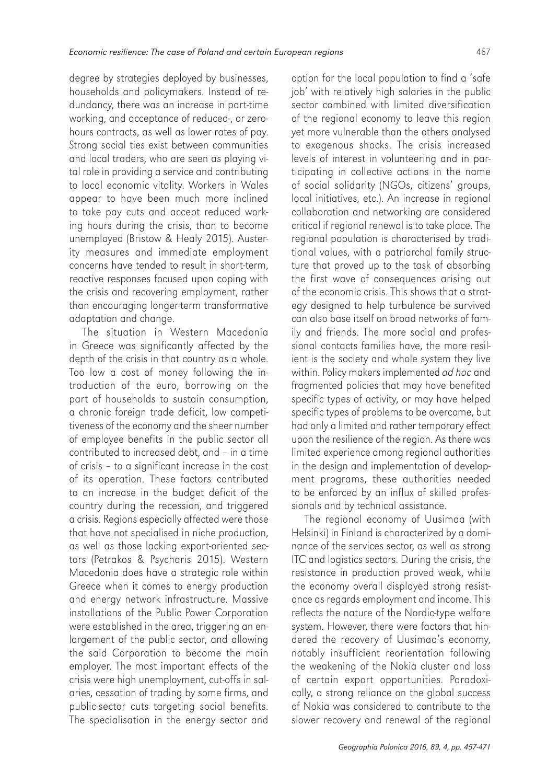degree by strategies deployed by businesses, households and policymakers. Instead of redundancy, there was an increase in part-time working, and acceptance of reduced-, or zerohours contracts, as well as lower rates of pay. Strong social ties exist between communities and local traders, who are seen as playing vital role in providing a service and contributing to local economic vitality. Workers in Wales appear to have been much more inclined to take pay cuts and accept reduced working hours during the crisis, than to become unemployed (Bristow & Healy 2015). Austerity measures and immediate employment concerns have tended to result in short-term, reactive responses focused upon coping with the crisis and recovering employment, rather than encouraging longer-term transformative adaptation and change.

The situation in Western Macedonia in Greece was significantly affected by the depth of the crisis in that country as a whole. Too low a cost of money following the introduction of the euro, borrowing on the part of households to sustain consumption, a chronic foreign trade deficit, low competitiveness of the economy and the sheer number of employee benefits in the public sector all contributed to increased debt, and – in a time of crisis – to a significant increase in the cost of its operation. These factors contributed to an increase in the budget deficit of the country during the recession, and triggered a crisis. Regions especially affected were those that have not specialised in niche production, as well as those lacking export-oriented sectors (Petrakos & Psycharis 2015). Western Macedonia does have a strategic role within Greece when it comes to energy production and energy network infrastructure. Massive installations of the Public Power Corporation were established in the area, triggering an enlargement of the public sector, and allowing the said Corporation to become the main employer. The most important effects of the crisis were high unemployment, cut-offs in salaries, cessation of trading by some firms, and public-sector cuts targeting social benefits. The specialisation in the energy sector and

option for the local population to find a 'safe job' with relatively high salaries in the public sector combined with limited diversification of the regional economy to leave this region yet more vulnerable than the others analysed to exogenous shocks. The crisis increased levels of interest in volunteering and in participating in collective actions in the name of social solidarity (NGOs, citizens' groups, local initiatives, etc.). An increase in regional collaboration and networking are considered critical if regional renewal is to take place. The regional population is characterised by traditional values, with a patriarchal family structure that proved up to the task of absorbing the first wave of consequences arising out of the economic crisis. This shows that a strategy designed to help turbulence be survived can also base itself on broad networks of family and friends. The more social and professional contacts families have, the more resilient is the society and whole system they live within. Policy makers implemented ad hoc and fragmented policies that may have benefited specific types of activity, or may have helped specific types of problems to be overcome, but had only a limited and rather temporary effect upon the resilience of the region. As there was limited experience among regional authorities in the design and implementation of development programs, these authorities needed to be enforced by an influx of skilled professionals and by technical assistance.

The regional economy of Uusimaa (with Helsinki) in Finland is characterized by a dominance of the services sector, as well as strong ITC and logistics sectors. During the crisis, the resistance in production proved weak, while the economy overall displayed strong resistance as regards employment and income. This reflects the nature of the Nordic-type welfare system. However, there were factors that hindered the recovery of Uusimaa's economy, notably insufficient reorientation following the weakening of the Nokia cluster and loss of certain export opportunities. Paradoxically, a strong reliance on the global success of Nokia was considered to contribute to the slower recovery and renewal of the regional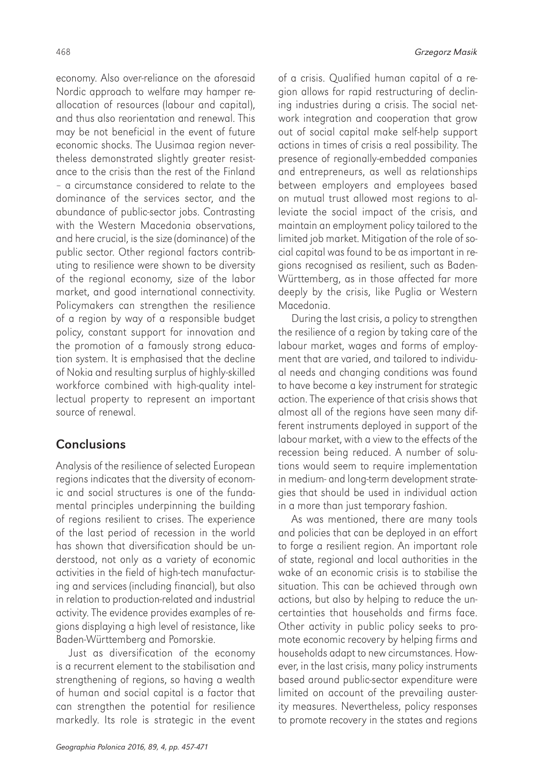economy. Also over-reliance on the aforesaid Nordic approach to welfare may hamper reallocation of resources (labour and capital), and thus also reorientation and renewal. This may be not beneficial in the event of future economic shocks. The Uusimaa region nevertheless demonstrated slightly greater resistance to the crisis than the rest of the Finland – a circumstance considered to relate to the dominance of the services sector, and the abundance of public-sector jobs. Contrasting with the Western Macedonia observations, and here crucial, is the size (dominance) of the public sector. Other regional factors contributing to resilience were shown to be diversity of the regional economy, size of the labor market, and good international connectivity. Policymakers can strengthen the resilience of a region by way of a responsible budget policy, constant support for innovation and the promotion of a famously strong education system. It is emphasised that the decline of Nokia and resulting surplus of highly-skilled workforce combined with high-quality intellectual property to represent an important source of renewal.

#### **Conclusions**

Analysis of the resilience of selected European regions indicates that the diversity of economic and social structures is one of the fundamental principles underpinning the building of regions resilient to crises. The experience of the last period of recession in the world has shown that diversification should be understood, not only as a variety of economic activities in the field of high-tech manufacturing and services (including financial), but also in relation to production-related and industrial activity. The evidence provides examples of regions displaying a high level of resistance, like Baden-Württemberg and Pomorskie.

Just as diversification of the economy is a recurrent element to the stabilisation and strengthening of regions, so having a wealth of human and social capital is a factor that can strengthen the potential for resilience markedly. Its role is strategic in the event

Geographia Polonica 2016, 89, 4, pp. 457-471

of a crisis. Qualified human capital of a region allows for rapid restructuring of declining industries during a crisis. The social network integration and cooperation that grow out of social capital make self-help support actions in times of crisis a real possibility. The presence of regionally-embedded companies and entrepreneurs, as well as relationships between employers and employees based on mutual trust allowed most regions to alleviate the social impact of the crisis, and maintain an employment policy tailored to the limited job market. Mitigation of the role of social capital was found to be as important in regions recognised as resilient, such as Baden-Württemberg, as in those affected far more deeply by the crisis, like Puglia or Western Macedonia.

During the last crisis, a policy to strengthen the resilience of a region by taking care of the labour market, wages and forms of employment that are varied, and tailored to individual needs and changing conditions was found to have become a key instrument for strategic action. The experience of that crisis shows that almost all of the regions have seen many different instruments deployed in support of the labour market, with a view to the effects of the recession being reduced. A number of solutions would seem to require implementation in medium- and long-term development strategies that should be used in individual action in a more than just temporary fashion.

As was mentioned, there are many tools and policies that can be deployed in an effort to forge a resilient region. An important role of state, regional and local authorities in the wake of an economic crisis is to stabilise the situation. This can be achieved through own actions, but also by helping to reduce the uncertainties that households and firms face. Other activity in public policy seeks to promote economic recovery by helping firms and households adapt to new circumstances. However, in the last crisis, many policy instruments based around public-sector expenditure were limited on account of the prevailing austerity measures. Nevertheless, policy responses to promote recovery in the states and regions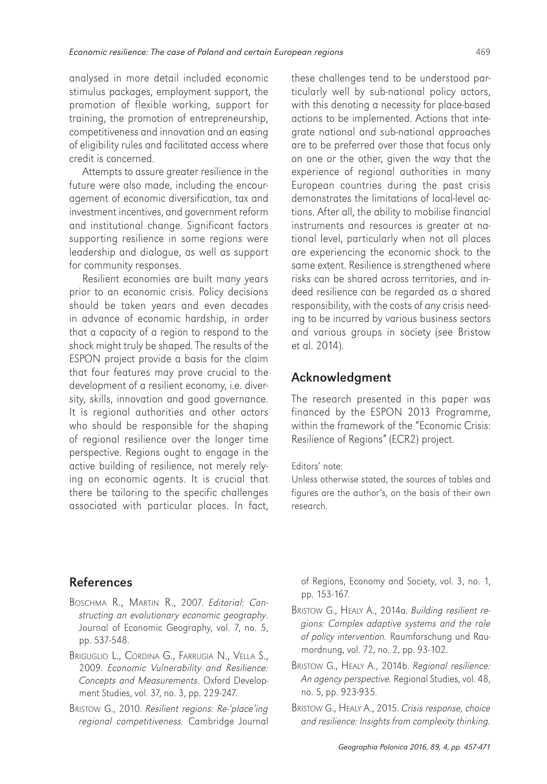analysed in more detail included economic stimulus packages, employment support, the promotion of flexible working, support for training, the promotion of entrepreneurship, competitiveness and innovation and an easing of eligibility rules and facilitated access where credit is concerned.

Attempts to assure greater resilience in the future were also made, including the encouragement of economic diversification, tax and investment incentives, and government reform and institutional change. Significant factors supporting resilience in some regions were leadership and dialogue, as well as support for community responses.

Resilient economies are built many years prior to an economic crisis. Policy decisions should be taken years and even decades in advance of economic hardship, in order that a capacity of a region to respond to the shock might truly be shaped. The results of the ESPON project provide a basis for the claim that four features may prove crucial to the development of a resilient economy, i.e. diversity, skills, innovation and good governance. It is regional authorities and other actors who should be responsible for the shaping of regional resilience over the longer time perspective. Regions ought to engage in the active building of resilience, not merely relying on economic agents. It is crucial that there be tailoring to the specific challenges associated with particular places. In fact, these challenges tend to be understood particularly well by sub-national policy actors, with this denoting a necessity for place-based actions to be implemented. Actions that integrate national and sub-national approaches are to be preferred over those that focus only on one or the other, given the way that the experience of regional authorities in many European countries during the past crisis demonstrates the limitations of local-level actions. After all, the ability to mobilise financial instruments and resources is greater at national level, particularly when not all places are experiencing the economic shock to the same extent. Resilience is strengthened where risks can be shared across territories, and indeed resilience can be regarded as a shared responsibility, with the costs of any crisis needing to be incurred by various business sectors and various groups in society (see Bristow et al. 2014).

#### Acknowledgment

The research presented in this paper was financed by the ESPON 2013 Programme, within the framework of the "Economic Crisis: Resilience of Regions" (ECR2) project.

#### Editors' note:

Unless otherwise stated, the sources of tables and figures are the author's, on the basis of their own research.

#### References

- BOSCHMA R., MARTIN R., 2007. Editorial: Constructing an evolutionary economic geography. Journal of Economic Geography, vol. 7, no. 5, pp. 537-548.
- BRIGUGLIO L., CORDINA G., FARRUGIA N., VELLA S., 2009. Economic Vulnerability and Resilience: Concepts and Measurements. Oxford Development Studies, vol. 37, no. 3, pp. 229-247.
- BRISTOW G., 2010. Resilient regions: Re-'place'ing regional competitiveness. Cambridge Journal

of Regions, Economy and Society, vol. 3, no. 1, pp. 153-167.

- BRISTOW G., HEALY A., 2014a. Building resilient regions: Complex adaptive systems and the role of policy intervention. Raumforschung und Raumordnung, vol. 72, no. 2, pp. 93-102.
- BRISTOW G., HEALY A., 2014b. Regional resilience: An agency perspective. Regional Studies, vol. 48, no. 5, pp. 923-935.
- BRISTOW G., HEALY A., 2015. Crisis response, choice and resilience: Insights from complexity thinking.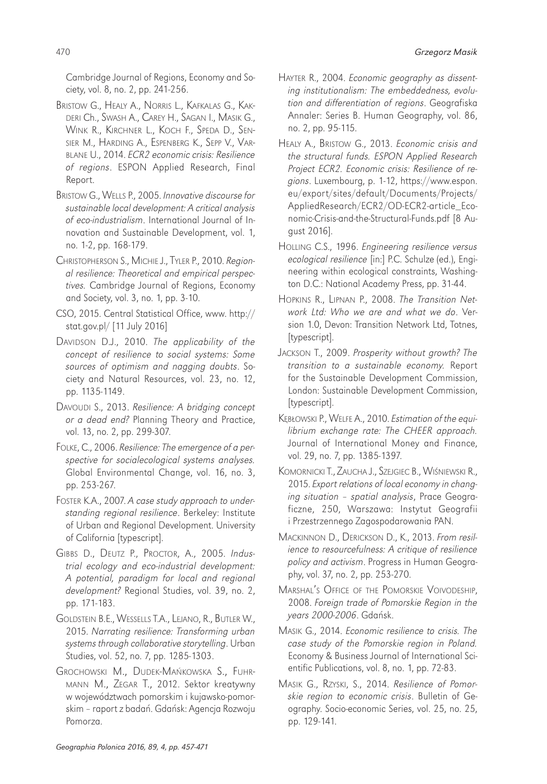Cambridge Journal of Regions, Economy and Society, vol. 8, no. 2, pp. 241-256.

- BRISTOW G., HEALY A., NORRIS L., KAFKALAS G., KAK-DERI Ch., SWASH A., CAREY H., SAGAN I., MASIK G., WINK R., KIRCHNER L., KOCH F., SPEDA D., SEN-SIER M., HARDING A., ESPENBERG K., SEPP V., VAR-BLANE U., 2014. ECR2 economic crisis: Resilience of regions. ESPON Applied Research, Final Report.
- BRISTOW G., WELLS P., 2005. Innovative discourse for sustainable local development: A critical analysis of eco-industrialism. International Journal of Innovation and Sustainable Development, vol. 1, no. 1-2, pp. 168-179.
- CHRISTOPHERSON S., MICHIE J., TYLER P., 2010. Regional resilience: Theoretical and empirical perspectives. Cambridge Journal of Regions, Economy and Society, vol. 3, no. 1, pp. 3-10.
- CSO, 2015. Central Statistical Office, www. http:// stat.gov.pl/ [11 July 2016]
- DAVIDSON D.J., 2010. The applicability of the concept of resilience to social systems: Some sources of optimism and nagging doubts. Society and Natural Resources, vol. 23, no. 12, pp. 1135-1149.
- DAVOUDI S., 2013. Resilience: A bridging concept or a dead end? Planning Theory and Practice, vol. 13, no. 2, pp. 299-307.
- FOLKE, C., 2006. Resilience: The emergence of a perspective for socialecological systems analyses. Global Environmental Change, vol. 16, no. 3, pp. 253-267.
- FOSTER K.A., 2007. A case study approach to understanding regional resilience. Berkeley: Institute of Urban and Regional Development. University of California [typescript].
- GIBBS D., DEUTZ P., PROCTOR, A., 2005. Industrial ecology and eco-industrial development: A potential, paradigm for local and regional development? Regional Studies, vol. 39, no. 2, pp. 171-183.
- GOLDSTEIN B.E., WESSELLS T.A., LEJANO, R., BUTLER W., 2015. Narrating resilience: Transforming urban systems through collaborative storytelling. Urban Studies, vol. 52, no. 7, pp. 1285-1303.
- GROCHOWSKI M., DUDEK-MAŃKOWSKA S., FUHR-MANN M., ZEGAR T., 2012. Sektor kreatywny w województwach pomorskim i kujawsko-pomorskim – raport z badań. Gdańsk: Agencja Rozwoju Pomorza.
- HAYTER R., 2004. Economic geography as dissenting institutionalism: The embeddedness, evolution and differentiation of regions. Geografiska Annaler: Series B. Human Geography, vol. 86, no. 2, pp. 95-115.
- HEALY A., BRISTOW G., 2013. Economic crisis and the structural funds. ESPON Applied Research Project ECR2. Economic crisis: Resilience of regions. Luxembourg, p. 1-12, https://www.espon. eu/export/sites/default/Documents/Projects/ AppliedResearch/ECR2/OD-ECR2-article\_Economic-Crisis-and-the-Structural-Funds.pdf [8 August 2016].
- HOLLING C.S., 1996. Engineering resilience versus ecological resilience [in:] P.C. Schulze (ed.), Engineering within ecological constraints, Washington D.C.: National Academy Press, pp. 31-44.
- HOPKINS R., LIPNAN P., 2008. The Transition Network Ltd: Who we are and what we do. Version 1.0, Devon: Transition Network Ltd, Totnes, [typescript].
- JACKSON T., 2009. Prosperity without growth? The transition to a sustainable economy. Report for the Sustainable Development Commission, London: Sustainable Development Commission, [typescript].
- KĘBŁOWSKI P., WELFE A., 2010. Estimation of the equilibrium exchange rate: The CHEER approach. Journal of International Money and Finance, vol. 29, no. 7, pp. 1385-1397.
- KOMORNICKI T., ZAUCHA J., SZEJGIEC B., WIŚNIEWSKI R., 2015. Export relations of local economy in changing situation – spatial analysis, Prace Geograficzne, 250, Warszawa: Instytut Geografii i Przestrzennego Zagospodarowania PAN.
- MACKINNON D., DERICKSON D., K., 2013. From resilience to resourcefulness: A critique of resilience policy and activism. Progress in Human Geography, vol. 37, no. 2, pp. 253-270.
- MARSHAL'S OFFICE OF THE POMORSKIE VOIVODESHIP, 2008. Foreign trade of Pomorskie Region in the years 2000-2006. Gdańsk.
- MASIK G., 2014. Economic resilience to crisis. The case study of the Pomorskie region in Poland. Economy & Business Journal of International Scientific Publications, vol. 8, no. 1, pp. 72-83.
- MASIK G., RZYSKI, S., 2014. Resilience of Pomorskie region to economic crisis. Bulletin of Geography. Socio-economic Series, vol. 25, no. 25, pp. 129-141.